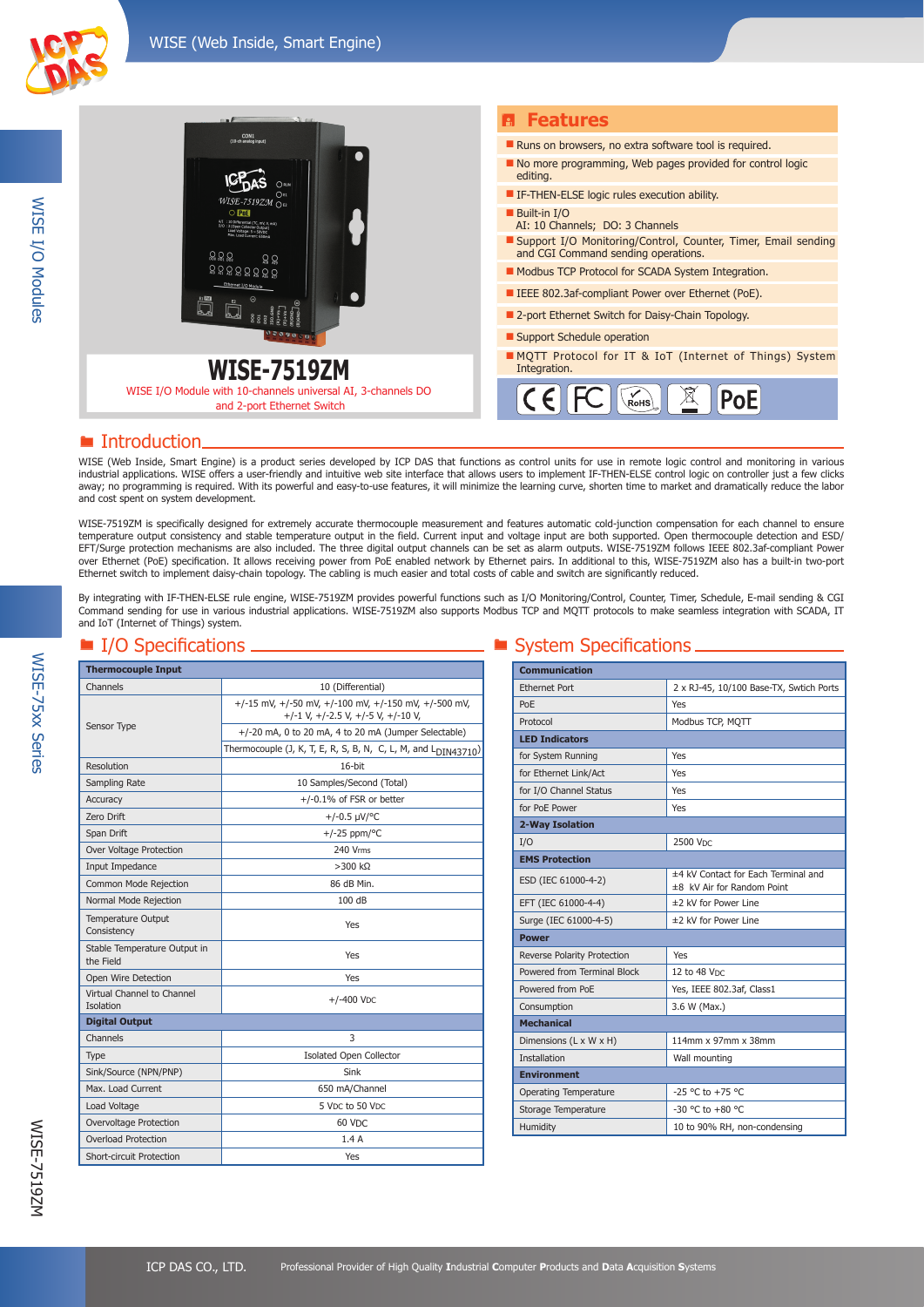

| CON1<br>(10-ch analog input)<br>אווים ו<br>(Об1<br>WISE-7519ZM $_{\text{Og}}$<br>$\bigcirc$ PnE<br>្ណ ្ណ ្ណ<br>$\Omega$<br>$333333333$<br>Ethernet I/O Module | <b>B</b> Features                                                                                    |
|---------------------------------------------------------------------------------------------------------------------------------------------------------------|------------------------------------------------------------------------------------------------------|
|                                                                                                                                                               | Runs on browsers, no extra software tool is required.                                                |
|                                                                                                                                                               | $\blacksquare$ No more programming, Web pages provided for control logic<br>editing.                 |
|                                                                                                                                                               | <b>E</b> IF-THEN-ELSE logic rules execution ability.                                                 |
|                                                                                                                                                               | Built-in I/O<br>AI: 10 Channels; DO: 3 Channels                                                      |
|                                                                                                                                                               | Support I/O Monitoring/Control, Counter, Timer, Email sending<br>and CGI Command sending operations. |
|                                                                                                                                                               | Modbus TCP Protocol for SCADA System Integration.                                                    |
|                                                                                                                                                               | <b>EXECUTE:</b> IEEE 802.3af-compliant Power over Ethernet (PoE).                                    |
|                                                                                                                                                               | ■ 2-port Ethernet Switch for Daisy-Chain Topology.                                                   |
|                                                                                                                                                               | ■ Support Schedule operation                                                                         |
| <b>WISE-7519ZM</b>                                                                                                                                            | <b>MOTT Protocol for IT &amp; IoT (Internet of Things) System</b><br>Integration.                    |
| WISE I/O Module with 10-channels universal AI, 3-channels DO<br>and 2-port Ethernet Switch                                                                    | RoHS                                                                                                 |

## **E** Introduction.

WISE (Web Inside, Smart Engine) is a product series developed by ICP DAS that functions as control units for use in remote logic control and monitoring in various industrial applications. WISE offers a user-friendly and intuitive web site interface that allows users to implement IF-THEN-ELSE control logic on controller just a few clicks away; no programming is required. With its powerful and easy-to-use features, it will minimize the learning curve, shorten time to market and dramatically reduce the labor and cost spent on system development.

WISE-7519ZM is specifically designed for extremely accurate thermocouple measurement and features automatic cold-junction compensation for each channel to ensure temperature output consistency and stable temperature output in the field. Current input and voltage input are both supported. Open thermocouple detection and ESD/ EFT/Surge protection mechanisms are also included. The three digital output channels can be set as alarm outputs. WISE-7519ZM follows IEEE 802.3af-compliant Power over Ethernet (PoE) specification. It allows receiving power from PoE enabled network by Ethernet pairs. In additional to this, WISE-7519ZM also has a built-in two-port Ethernet switch to implement daisy-chain topology. The cabling is much easier and total costs of cable and switch are significantly reduced.

By integrating with IF-THEN-ELSE rule engine, WISE-7519ZM provides powerful functions such as I/O Monitoring/Control, Counter, Timer, Schedule, E-mail sending & CGI Command sending for use in various industrial applications. WISE-7519ZM also supports Modbus TCP and MQTT protocols to make seamless integration with SCADA, IT and IoT (Internet of Things) system.

| <b>Thermocouple Input</b>                 |                                                                                            |
|-------------------------------------------|--------------------------------------------------------------------------------------------|
| Channels                                  | 10 (Differential)                                                                          |
|                                           | +/-15 mV, +/-50 mV, +/-100 mV, +/-150 mV, +/-500 mV,<br>+/-1 V, +/-2.5 V, +/-5 V, +/-10 V, |
| Sensor Type                               | +/-20 mA, 0 to 20 mA, 4 to 20 mA (Jumper Selectable)                                       |
|                                           | Thermocouple (J, K, T, E, R, S, B, N, C, L, M, and L <sub>DIN43710</sub> )                 |
| Resolution                                | $16$ -bit                                                                                  |
| Sampling Rate                             | 10 Samples/Second (Total)                                                                  |
| Accuracy                                  | $+/-0.1\%$ of FSR or better                                                                |
| Zero Drift                                | $+/-0.5 \mu V$ <sup>o</sup> C                                                              |
| Span Drift                                | $+/-25$ ppm/°C                                                                             |
| Over Voltage Protection                   | 240 Vrms                                                                                   |
| Input Impedance                           | $>$ 300 kΩ                                                                                 |
| Common Mode Rejection                     | 86 dB Min.                                                                                 |
| Normal Mode Rejection                     | 100 dB                                                                                     |
| <b>Temperature Output</b><br>Consistency  | Yes                                                                                        |
| Stable Temperature Output in<br>the Field | Yes                                                                                        |
| Open Wire Detection                       | Yes                                                                                        |
| Virtual Channel to Channel<br>Isolation   | $+/-400$ VDC                                                                               |
| <b>Digital Output</b>                     |                                                                                            |
| Channels                                  | 3                                                                                          |
| Type                                      | <b>Isolated Open Collector</b>                                                             |
| Sink/Source (NPN/PNP)                     | Sink                                                                                       |
| Max. Load Current                         | 650 mA/Channel                                                                             |
| Load Voltage                              | 5 Vpc to 50 Vpc                                                                            |
| Overvoltage Protection                    | 60 V <sub>DC</sub>                                                                         |
| <b>Overload Protection</b>                | 1.4A                                                                                       |
| <b>Short-circuit Protection</b>           | Yes                                                                                        |

### $\blacksquare$  I/O Specifications  $\blacksquare$  System Specifications  $\blacksquare$

| <b>Communication</b>         |                                                                   |
|------------------------------|-------------------------------------------------------------------|
| <b>Ethernet Port</b>         | 2 x RJ-45, 10/100 Base-TX, Swtich Ports                           |
| PoE                          | Yes                                                               |
| Protocol                     | Modbus TCP, MOTT                                                  |
| <b>LED Indicators</b>        |                                                                   |
| for System Running           | Yes                                                               |
| for Ethernet Link/Act        | Yes                                                               |
| for I/O Channel Status       | Yes                                                               |
| for PoF Power                | Yes                                                               |
| 2-Way Isolation              |                                                                   |
| I/O                          | 2500 Vpc                                                          |
| <b>EMS Protection</b>        |                                                                   |
| ESD (IEC 61000-4-2)          | ±4 kV Contact for Each Terminal and<br>±8 kV Air for Random Point |
| EFT (IEC 61000-4-4)          | ±2 kV for Power Line                                              |
| Surge (IEC 61000-4-5)        | ±2 kV for Power Line                                              |
| <b>Power</b>                 |                                                                   |
| Reverse Polarity Protection  | Yes                                                               |
| Powered from Terminal Block  | 12 to 48 VDC                                                      |
| Powered from PoE             | Yes, IEEE 802.3af, Class1                                         |
| Consumption                  | 3.6 W (Max.)                                                      |
| <b>Mechanical</b>            |                                                                   |
| Dimensions (L x W x H)       | 114mm x 97mm x 38mm                                               |
| <b>Installation</b>          | Wall mounting                                                     |
| <b>Environment</b>           |                                                                   |
| <b>Operating Temperature</b> | $-25$ °C to $+75$ °C                                              |
| Storage Temperature          | $-30$ °C to $+80$ °C                                              |
| Humidity                     | 10 to 90% RH, non-condensing                                      |

WISE-75xx Series

**WISE-75xx Series**